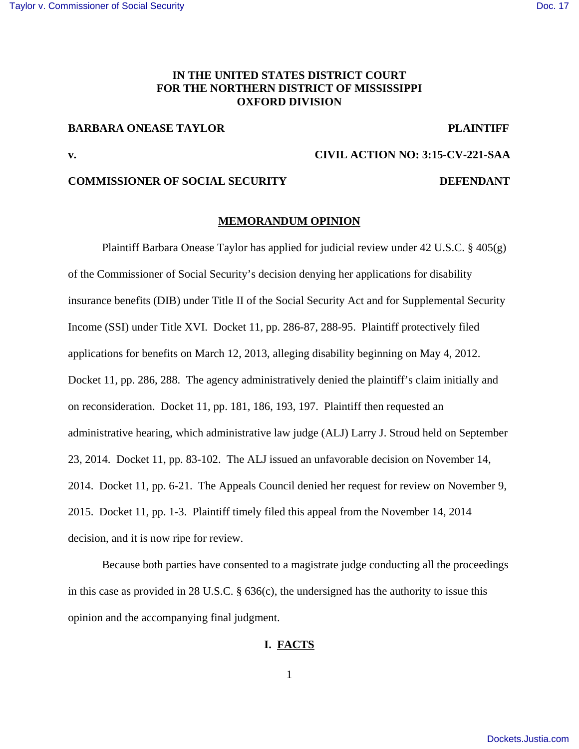# [Taylor v. Commissioner of Social Security](https://dockets.justia.com/docket/mississippi/msndce/3:2015cv00221/37775/) **[Doc. 17](https://docs.justia.com/cases/federal/district-courts/mississippi/msndce/3:2015cv00221/37775/17/)** November 2012 12:30 November 2012 12:30 November 2013 12:30

# **IN THE UNITED STATES DISTRICT COURT FOR THE NORTHERN DISTRICT OF MISSISSIPPI OXFORD DIVISION**

## **BARBARA ONEASE TAYLOR PLAINTIFF**

#### **v. CIVIL ACTION NO: 3:15-CV-221-SAA**

### **COMMISSIONER OF SOCIAL SECURITY DEFENDANT**

#### **MEMORANDUM OPINION**

Plaintiff Barbara Onease Taylor has applied for judicial review under 42 U.S.C. § 405(g) of the Commissioner of Social Security's decision denying her applications for disability insurance benefits (DIB) under Title II of the Social Security Act and for Supplemental Security Income (SSI) under Title XVI. Docket 11, pp. 286-87, 288-95. Plaintiff protectively filed applications for benefits on March 12, 2013, alleging disability beginning on May 4, 2012. Docket 11, pp. 286, 288. The agency administratively denied the plaintiff's claim initially and on reconsideration. Docket 11, pp. 181, 186, 193, 197. Plaintiff then requested an administrative hearing, which administrative law judge (ALJ) Larry J. Stroud held on September 23, 2014. Docket 11, pp. 83-102. The ALJ issued an unfavorable decision on November 14, 2014. Docket 11, pp. 6-21. The Appeals Council denied her request for review on November 9, 2015. Docket 11, pp. 1-3. Plaintiff timely filed this appeal from the November 14, 2014 decision, and it is now ripe for review.

Because both parties have consented to a magistrate judge conducting all the proceedings in this case as provided in 28 U.S.C. § 636(c), the undersigned has the authority to issue this opinion and the accompanying final judgment.

## **I. FACTS**

1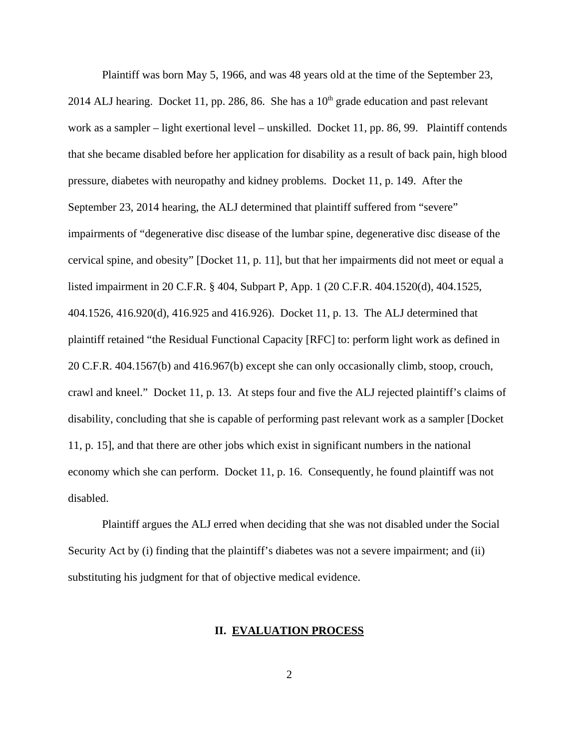Plaintiff was born May 5, 1966, and was 48 years old at the time of the September 23, 2014 ALJ hearing. Docket 11, pp. 286, 86. She has a  $10<sup>th</sup>$  grade education and past relevant work as a sampler – light exertional level – unskilled. Docket 11, pp. 86, 99. Plaintiff contends that she became disabled before her application for disability as a result of back pain, high blood pressure, diabetes with neuropathy and kidney problems. Docket 11, p. 149. After the September 23, 2014 hearing, the ALJ determined that plaintiff suffered from "severe" impairments of "degenerative disc disease of the lumbar spine, degenerative disc disease of the cervical spine, and obesity" [Docket 11, p. 11], but that her impairments did not meet or equal a listed impairment in 20 C.F.R. § 404, Subpart P, App. 1 (20 C.F.R. 404.1520(d), 404.1525, 404.1526, 416.920(d), 416.925 and 416.926). Docket 11, p. 13. The ALJ determined that plaintiff retained "the Residual Functional Capacity [RFC] to: perform light work as defined in 20 C.F.R. 404.1567(b) and 416.967(b) except she can only occasionally climb, stoop, crouch, crawl and kneel." Docket 11, p. 13. At steps four and five the ALJ rejected plaintiff's claims of disability, concluding that she is capable of performing past relevant work as a sampler [Docket 11, p. 15], and that there are other jobs which exist in significant numbers in the national economy which she can perform. Docket 11, p. 16. Consequently, he found plaintiff was not disabled.

Plaintiff argues the ALJ erred when deciding that she was not disabled under the Social Security Act by (i) finding that the plaintiff's diabetes was not a severe impairment; and (ii) substituting his judgment for that of objective medical evidence.

# **II. EVALUATION PROCESS**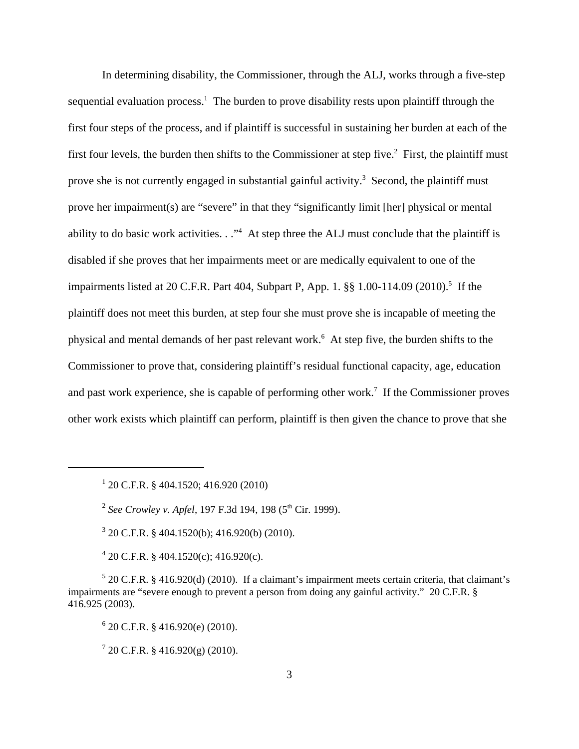In determining disability, the Commissioner, through the ALJ, works through a five-step sequential evaluation process.<sup>1</sup> The burden to prove disability rests upon plaintiff through the first four steps of the process, and if plaintiff is successful in sustaining her burden at each of the first four levels, the burden then shifts to the Commissioner at step five. $2$  First, the plaintiff must prove she is not currently engaged in substantial gainful activity.<sup>3</sup> Second, the plaintiff must prove her impairment(s) are "severe" in that they "significantly limit [her] physical or mental ability to do basic work activities. . ."<sup>4</sup> At step three the ALJ must conclude that the plaintiff is disabled if she proves that her impairments meet or are medically equivalent to one of the impairments listed at 20 C.F.R. Part 404, Subpart P, App. 1.  $\S$ § 1.00-114.09 (2010).<sup>5</sup> If the plaintiff does not meet this burden, at step four she must prove she is incapable of meeting the physical and mental demands of her past relevant work.<sup>6</sup> At step five, the burden shifts to the Commissioner to prove that, considering plaintiff's residual functional capacity, age, education and past work experience, she is capable of performing other work.<sup>7</sup> If the Commissioner proves other work exists which plaintiff can perform, plaintiff is then given the chance to prove that she

1 20 C.F.R. § 404.1520; 416.920 (2010)

<sup>2</sup> See Crowley v. Apfel, 197 F.3d 194, 198 (5<sup>th</sup> Cir. 1999).

3 20 C.F.R. § 404.1520(b); 416.920(b) (2010).

 $420$  C.F.R. § 404.1520(c); 416.920(c).

 $5$  20 C.F.R. § 416.920(d) (2010). If a claimant's impairment meets certain criteria, that claimant's impairments are "severe enough to prevent a person from doing any gainful activity." 20 C.F.R. § 416.925 (2003).

 $6$  20 C.F.R. § 416.920(e) (2010).

 $7$  20 C.F.R. § 416.920(g) (2010).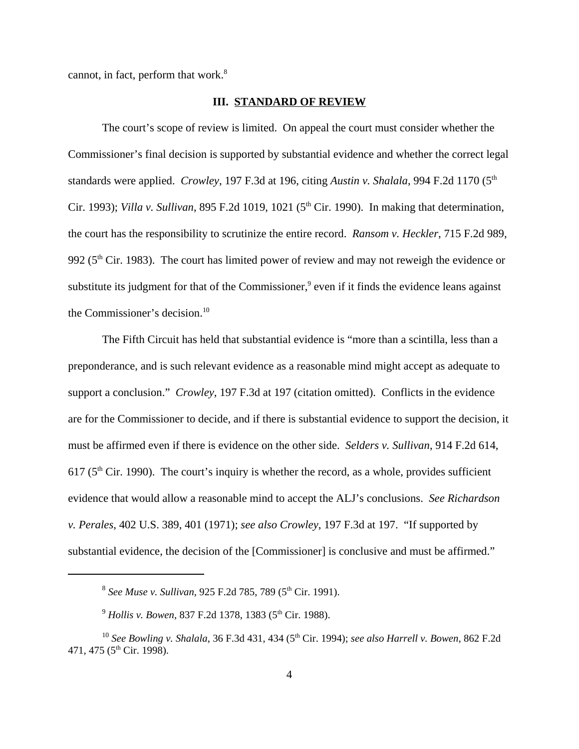cannot, in fact, perform that work.<sup>8</sup>

#### **III. STANDARD OF REVIEW**

The court's scope of review is limited. On appeal the court must consider whether the Commissioner's final decision is supported by substantial evidence and whether the correct legal standards were applied. *Crowley*, 197 F.3d at 196, citing *Austin v. Shalala*, 994 F.2d 1170 (5th Cir. 1993); *Villa v. Sullivan*, 895 F.2d 1019, 1021 (5<sup>th</sup> Cir. 1990). In making that determination, the court has the responsibility to scrutinize the entire record. *Ransom v. Heckler*, 715 F.2d 989, 992 ( $5<sup>th</sup>$  Cir. 1983). The court has limited power of review and may not reweigh the evidence or substitute its judgment for that of the Commissioner,<sup>9</sup> even if it finds the evidence leans against the Commissioner's decision.<sup>10</sup>

The Fifth Circuit has held that substantial evidence is "more than a scintilla, less than a preponderance, and is such relevant evidence as a reasonable mind might accept as adequate to support a conclusion." *Crowley*, 197 F.3d at 197 (citation omitted). Conflicts in the evidence are for the Commissioner to decide, and if there is substantial evidence to support the decision, it must be affirmed even if there is evidence on the other side. *Selders v. Sullivan*, 914 F.2d 614,  $617$  ( $5<sup>th</sup>$  Cir. 1990). The court's inquiry is whether the record, as a whole, provides sufficient evidence that would allow a reasonable mind to accept the ALJ's conclusions. *See Richardson v. Perales*, 402 U.S. 389, 401 (1971); *see also Crowley*, 197 F.3d at 197. "If supported by substantial evidence, the decision of the [Commissioner] is conclusive and must be affirmed."

<sup>&</sup>lt;sup>8</sup> See Muse v. Sullivan, 925 F.2d 785, 789 (5<sup>th</sup> Cir. 1991).

<sup>&</sup>lt;sup>9</sup> Hollis v. Bowen, 837 F.2d 1378, 1383 (5<sup>th</sup> Cir. 1988).

<sup>&</sup>lt;sup>10</sup> See Bowling v. Shalala, 36 F.3d 431, 434 (5<sup>th</sup> Cir. 1994); *see also Harrell v. Bowen*, 862 F.2d 471, 475 (5<sup>th</sup> Cir. 1998).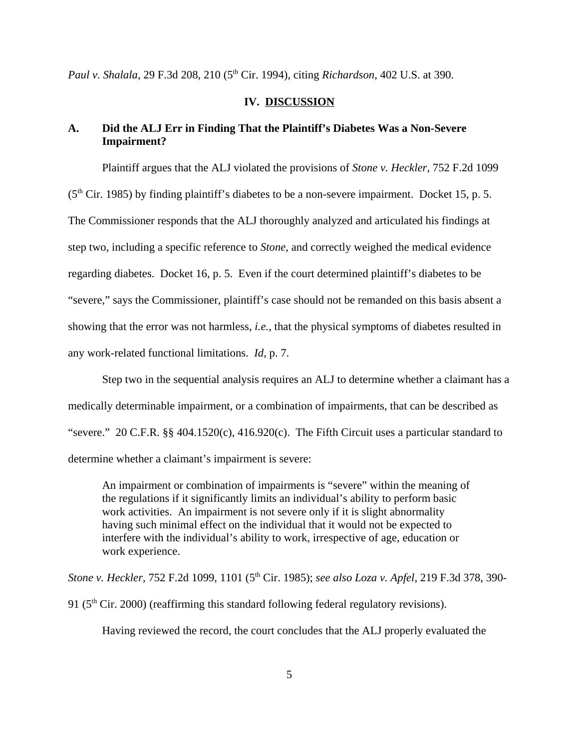*Paul v. Shalala*, 29 F.3d 208, 210 (5<sup>th</sup> Cir. 1994), citing *Richardson*, 402 U.S. at 390.

#### **IV. DISCUSSION**

# **A. Did the ALJ Err in Finding That the Plaintiff's Diabetes Was a Non-Severe Impairment?**

Plaintiff argues that the ALJ violated the provisions of *Stone v. Heckler*, 752 F.2d 1099  $(5<sup>th</sup> Cir. 1985)$  by finding plaintiff's diabetes to be a non-severe impairment. Docket 15, p. 5. The Commissioner responds that the ALJ thoroughly analyzed and articulated his findings at step two, including a specific reference to *Stone*, and correctly weighed the medical evidence regarding diabetes. Docket 16, p. 5. Even if the court determined plaintiff's diabetes to be "severe," says the Commissioner, plaintiff's case should not be remanded on this basis absent a showing that the error was not harmless, *i.e.*, that the physical symptoms of diabetes resulted in any work-related functional limitations. *Id*, p. 7.

Step two in the sequential analysis requires an ALJ to determine whether a claimant has a medically determinable impairment, or a combination of impairments, that can be described as "severe." 20 C.F.R. §§ 404.1520(c), 416.920(c). The Fifth Circuit uses a particular standard to determine whether a claimant's impairment is severe:

An impairment or combination of impairments is "severe" within the meaning of the regulations if it significantly limits an individual's ability to perform basic work activities. An impairment is not severe only if it is slight abnormality having such minimal effect on the individual that it would not be expected to interfere with the individual's ability to work, irrespective of age, education or work experience.

*Stone v. Heckler*, 752 F.2d 1099, 1101 (5<sup>th</sup> Cir. 1985); *see also Loza v. Apfel*, 219 F.3d 378, 390-

91 ( $5<sup>th</sup>$  Cir. 2000) (reaffirming this standard following federal regulatory revisions).

Having reviewed the record, the court concludes that the ALJ properly evaluated the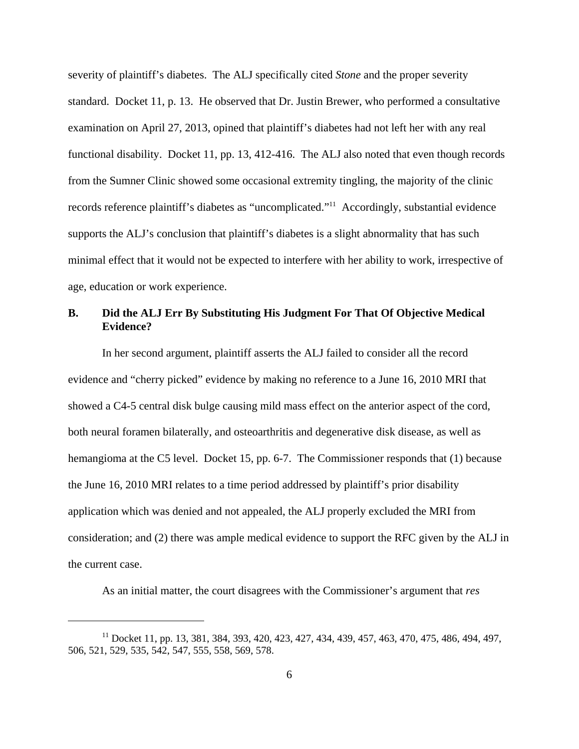severity of plaintiff's diabetes. The ALJ specifically cited *Stone* and the proper severity standard. Docket 11, p. 13. He observed that Dr. Justin Brewer, who performed a consultative examination on April 27, 2013, opined that plaintiff's diabetes had not left her with any real functional disability. Docket 11, pp. 13, 412-416. The ALJ also noted that even though records from the Sumner Clinic showed some occasional extremity tingling, the majority of the clinic records reference plaintiff's diabetes as "uncomplicated."<sup>11</sup> Accordingly, substantial evidence supports the ALJ's conclusion that plaintiff's diabetes is a slight abnormality that has such minimal effect that it would not be expected to interfere with her ability to work, irrespective of age, education or work experience.

# **B. Did the ALJ Err By Substituting His Judgment For That Of Objective Medical Evidence?**

In her second argument, plaintiff asserts the ALJ failed to consider all the record evidence and "cherry picked" evidence by making no reference to a June 16, 2010 MRI that showed a C4-5 central disk bulge causing mild mass effect on the anterior aspect of the cord, both neural foramen bilaterally, and osteoarthritis and degenerative disk disease, as well as hemangioma at the C5 level. Docket 15, pp. 6-7. The Commissioner responds that (1) because the June 16, 2010 MRI relates to a time period addressed by plaintiff's prior disability application which was denied and not appealed, the ALJ properly excluded the MRI from consideration; and (2) there was ample medical evidence to support the RFC given by the ALJ in the current case.

As an initial matter, the court disagrees with the Commissioner's argument that *res*

<sup>&</sup>lt;sup>11</sup> Docket 11, pp. 13, 381, 384, 393, 420, 423, 427, 434, 439, 457, 463, 470, 475, 486, 494, 497, 506, 521, 529, 535, 542, 547, 555, 558, 569, 578.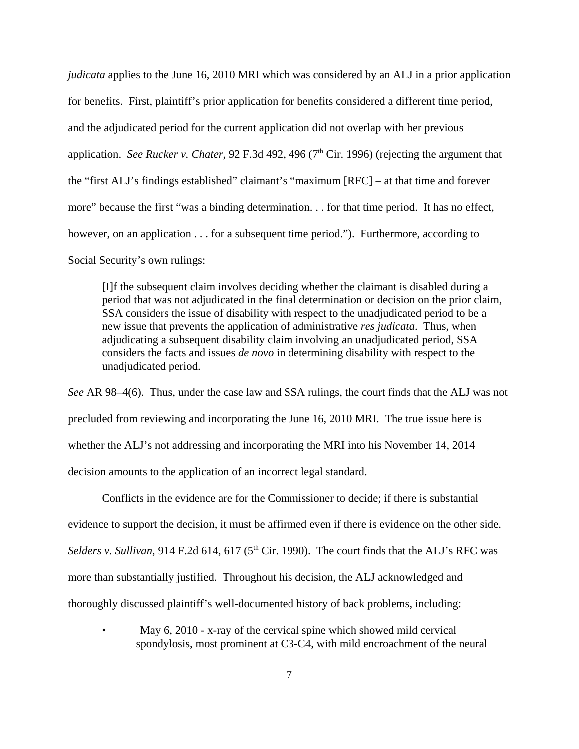*judicata* applies to the June 16, 2010 MRI which was considered by an ALJ in a prior application for benefits. First, plaintiff's prior application for benefits considered a different time period, and the adjudicated period for the current application did not overlap with her previous application. *See Rucker v. Chater*, 92 F.3d 492, 496 (7<sup>th</sup> Cir. 1996) (rejecting the argument that the "first ALJ's findings established" claimant's "maximum [RFC] – at that time and forever more" because the first "was a binding determination. . . for that time period. It has no effect, however, on an application . . . for a subsequent time period."). Furthermore, according to Social Security's own rulings:

[I]f the subsequent claim involves deciding whether the claimant is disabled during a period that was not adjudicated in the final determination or decision on the prior claim, SSA considers the issue of disability with respect to the unadjudicated period to be a new issue that prevents the application of administrative *res judicata*. Thus, when adjudicating a subsequent disability claim involving an unadjudicated period, SSA considers the facts and issues *de novo* in determining disability with respect to the unadjudicated period.

*See* AR 98–4(6). Thus, under the case law and SSA rulings, the court finds that the ALJ was not precluded from reviewing and incorporating the June 16, 2010 MRI. The true issue here is whether the ALJ's not addressing and incorporating the MRI into his November 14, 2014 decision amounts to the application of an incorrect legal standard.

Conflicts in the evidence are for the Commissioner to decide; if there is substantial evidence to support the decision, it must be affirmed even if there is evidence on the other side. *Selders v. Sullivan*, 914 F.2d 614, 617 ( $5<sup>th</sup>$  Cir. 1990). The court finds that the ALJ's RFC was more than substantially justified. Throughout his decision, the ALJ acknowledged and thoroughly discussed plaintiff's well-documented history of back problems, including:

May 6, 2010 - x-ray of the cervical spine which showed mild cervical spondylosis, most prominent at C3-C4, with mild encroachment of the neural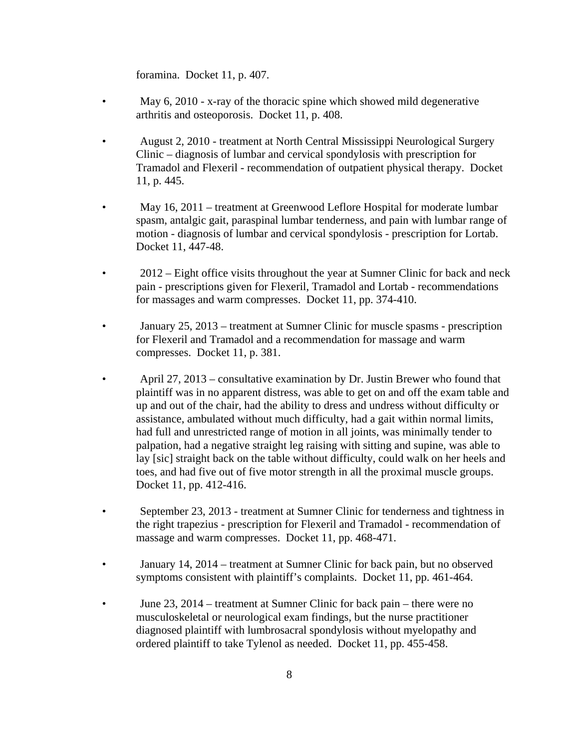foramina. Docket 11, p. 407.

- May 6, 2010 x-ray of the thoracic spine which showed mild degenerative arthritis and osteoporosis. Docket 11, p. 408.
- August 2, 2010 treatment at North Central Mississippi Neurological Surgery Clinic – diagnosis of lumbar and cervical spondylosis with prescription for Tramadol and Flexeril - recommendation of outpatient physical therapy. Docket 11, p. 445.
- May 16, 2011 treatment at Greenwood Leflore Hospital for moderate lumbar spasm, antalgic gait, paraspinal lumbar tenderness, and pain with lumbar range of motion - diagnosis of lumbar and cervical spondylosis - prescription for Lortab. Docket 11, 447-48.
- $2012$  Eight office visits throughout the year at Sumner Clinic for back and neck pain - prescriptions given for Flexeril, Tramadol and Lortab - recommendations for massages and warm compresses. Docket 11, pp. 374-410.
- January 25, 2013 treatment at Sumner Clinic for muscle spasms prescription for Flexeril and Tramadol and a recommendation for massage and warm compresses. Docket 11, p. 381.
- April 27, 2013 consultative examination by Dr. Justin Brewer who found that plaintiff was in no apparent distress, was able to get on and off the exam table and up and out of the chair, had the ability to dress and undress without difficulty or assistance, ambulated without much difficulty, had a gait within normal limits, had full and unrestricted range of motion in all joints, was minimally tender to palpation, had a negative straight leg raising with sitting and supine, was able to lay [sic] straight back on the table without difficulty, could walk on her heels and toes, and had five out of five motor strength in all the proximal muscle groups. Docket 11, pp. 412-416.
- September 23, 2013 treatment at Sumner Clinic for tenderness and tightness in the right trapezius - prescription for Flexeril and Tramadol - recommendation of massage and warm compresses. Docket 11, pp. 468-471.
- January 14, 2014 treatment at Sumner Clinic for back pain, but no observed symptoms consistent with plaintiff's complaints. Docket 11, pp. 461-464.
- June 23, 2014 treatment at Sumner Clinic for back pain there were no musculoskeletal or neurological exam findings, but the nurse practitioner diagnosed plaintiff with lumbrosacral spondylosis without myelopathy and ordered plaintiff to take Tylenol as needed. Docket 11, pp. 455-458.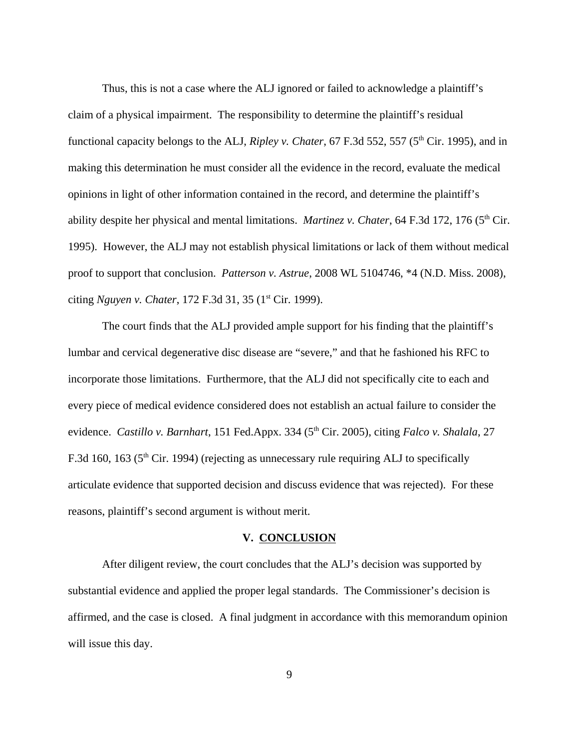Thus, this is not a case where the ALJ ignored or failed to acknowledge a plaintiff's claim of a physical impairment. The responsibility to determine the plaintiff's residual functional capacity belongs to the ALJ, *Ripley v. Chater*, 67 F.3d 552, 557 (5<sup>th</sup> Cir. 1995), and in making this determination he must consider all the evidence in the record, evaluate the medical opinions in light of other information contained in the record, and determine the plaintiff's ability despite her physical and mental limitations. *Martinez v. Chater*, 64 F.3d 172, 176 (5<sup>th</sup> Cir. 1995). However, the ALJ may not establish physical limitations or lack of them without medical proof to support that conclusion. *Patterson v. Astrue*, 2008 WL 5104746, \*4 (N.D. Miss. 2008), citing *Nguyen v. Chater*, 172 F.3d 31, 35 (1<sup>st</sup> Cir. 1999).

The court finds that the ALJ provided ample support for his finding that the plaintiff's lumbar and cervical degenerative disc disease are "severe," and that he fashioned his RFC to incorporate those limitations. Furthermore, that the ALJ did not specifically cite to each and every piece of medical evidence considered does not establish an actual failure to consider the evidence. *Castillo v. Barnhart*, 151 Fed.Appx. 334 (5<sup>th</sup> Cir. 2005), citing *Falco v. Shalala*, 27 F.3d 160, 163 ( $5<sup>th</sup>$  Cir. 1994) (rejecting as unnecessary rule requiring ALJ to specifically articulate evidence that supported decision and discuss evidence that was rejected). For these reasons, plaintiff's second argument is without merit.

## **V. CONCLUSION**

After diligent review, the court concludes that the ALJ's decision was supported by substantial evidence and applied the proper legal standards. The Commissioner's decision is affirmed, and the case is closed. A final judgment in accordance with this memorandum opinion will issue this day.